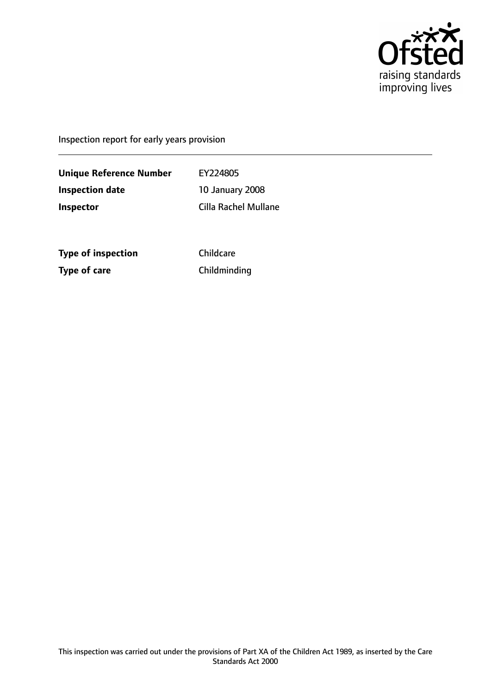

Inspection report for early years provision

**Unique Reference Number** EY224805 **Inspection date** 10 January 2008 **Inspector** Cilla Rachel Mullane

**Type of inspection** Childcare **Type of care** Childminding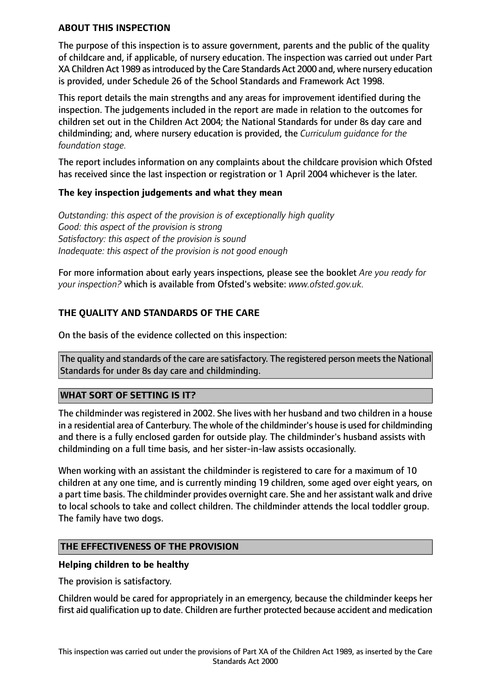## **ABOUT THIS INSPECTION**

The purpose of this inspection is to assure government, parents and the public of the quality of childcare and, if applicable, of nursery education. The inspection was carried out under Part XA Children Act 1989 asintroduced by the Care Standards Act 2000 and, where nursery education is provided, under Schedule 26 of the School Standards and Framework Act 1998.

This report details the main strengths and any areas for improvement identified during the inspection. The judgements included in the report are made in relation to the outcomes for children set out in the Children Act 2004; the National Standards for under 8s day care and childminding; and, where nursery education is provided, the *Curriculum guidance for the foundation stage.*

The report includes information on any complaints about the childcare provision which Ofsted has received since the last inspection or registration or 1 April 2004 whichever is the later.

## **The key inspection judgements and what they mean**

*Outstanding: this aspect of the provision is of exceptionally high quality Good: this aspect of the provision is strong Satisfactory: this aspect of the provision is sound Inadequate: this aspect of the provision is not good enough*

For more information about early years inspections, please see the booklet *Are you ready for your inspection?* which is available from Ofsted's website: *www.ofsted.gov.uk.*

## **THE QUALITY AND STANDARDS OF THE CARE**

On the basis of the evidence collected on this inspection:

The quality and standards of the care are satisfactory. The registered person meets the National Standards for under 8s day care and childminding.

## **WHAT SORT OF SETTING IS IT?**

The childminder was registered in 2002. She lives with her husband and two children in a house in a residential area of Canterbury. The whole of the childminder's house is used for childminding and there is a fully enclosed garden for outside play. The childminder's husband assists with childminding on a full time basis, and her sister-in-law assists occasionally.

When working with an assistant the childminder is registered to care for a maximum of 10 children at any one time, and is currently minding 19 children, some aged over eight years, on a part time basis. The childminder provides overnight care. She and her assistant walk and drive to local schools to take and collect children. The childminder attends the local toddler group. The family have two dogs.

## **THE EFFECTIVENESS OF THE PROVISION**

#### **Helping children to be healthy**

The provision is satisfactory.

Children would be cared for appropriately in an emergency, because the childminder keeps her first aid qualification up to date. Children are further protected because accident and medication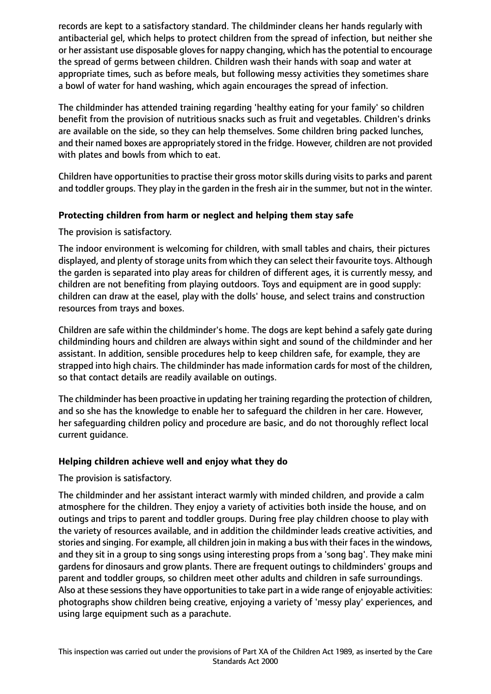records are kept to a satisfactory standard. The childminder cleans her hands regularly with antibacterial gel, which helps to protect children from the spread of infection, but neither she or her assistant use disposable gloves for nappy changing, which has the potential to encourage the spread of germs between children. Children wash their hands with soap and water at appropriate times, such as before meals, but following messy activities they sometimes share a bowl of water for hand washing, which again encourages the spread of infection.

The childminder has attended training regarding 'healthy eating for your family' so children benefit from the provision of nutritious snacks such as fruit and vegetables. Children's drinks are available on the side, so they can help themselves. Some children bring packed lunches, and their named boxes are appropriately stored in the fridge. However, children are not provided with plates and bowls from which to eat.

Children have opportunities to practise their gross motor skills during visits to parks and parent and toddler groups. They play in the garden in the fresh air in the summer, but not in the winter.

## **Protecting children from harm or neglect and helping them stay safe**

The provision is satisfactory.

The indoor environment is welcoming for children, with small tables and chairs, their pictures displayed, and plenty of storage units from which they can select their favourite toys. Although the garden is separated into play areas for children of different ages, it is currently messy, and children are not benefiting from playing outdoors. Toys and equipment are in good supply: children can draw at the easel, play with the dolls' house, and select trains and construction resources from trays and boxes.

Children are safe within the childminder's home. The dogs are kept behind a safely gate during childminding hours and children are always within sight and sound of the childminder and her assistant. In addition, sensible procedures help to keep children safe, for example, they are strapped into high chairs. The childminder has made information cards for most of the children, so that contact details are readily available on outings.

The childminder has been proactive in updating her training regarding the protection of children, and so she has the knowledge to enable her to safeguard the children in her care. However, her safeguarding children policy and procedure are basic, and do not thoroughly reflect local current guidance.

## **Helping children achieve well and enjoy what they do**

The provision is satisfactory.

The childminder and her assistant interact warmly with minded children, and provide a calm atmosphere for the children. They enjoy a variety of activities both inside the house, and on outings and trips to parent and toddler groups. During free play children choose to play with the variety of resources available, and in addition the childminder leads creative activities, and stories and singing. For example, all children join in making a bus with their faces in the windows, and they sit in a group to sing songs using interesting props from a 'song bag'. They make mini gardens for dinosaurs and grow plants. There are frequent outings to childminders' groups and parent and toddler groups, so children meet other adults and children in safe surroundings. Also at these sessions they have opportunities to take part in a wide range of enjoyable activities: photographs show children being creative, enjoying a variety of 'messy play' experiences, and using large equipment such as a parachute.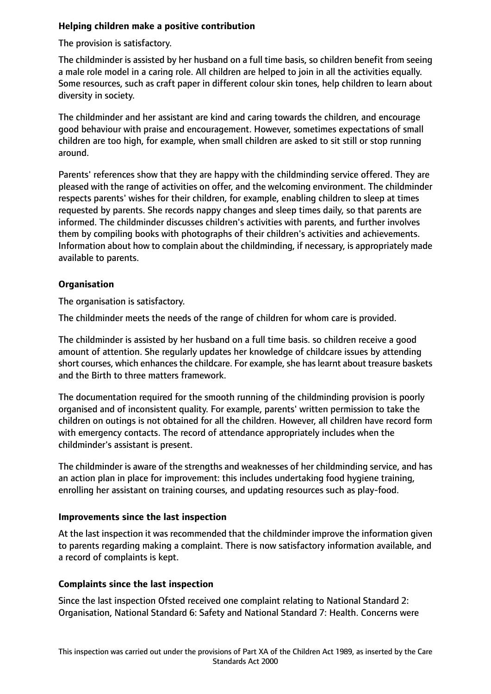# **Helping children make a positive contribution**

The provision is satisfactory.

The childminder is assisted by her husband on a full time basis, so children benefit from seeing a male role model in a caring role. All children are helped to join in all the activities equally. Some resources, such as craft paper in different colour skin tones, help children to learn about diversity in society.

The childminder and her assistant are kind and caring towards the children, and encourage good behaviour with praise and encouragement. However, sometimes expectations of small children are too high, for example, when small children are asked to sit still or stop running around.

Parents' references show that they are happy with the childminding service offered. They are pleased with the range of activities on offer, and the welcoming environment. The childminder respects parents' wishes for their children, for example, enabling children to sleep at times requested by parents. She records nappy changes and sleep times daily, so that parents are informed. The childminder discusses children's activities with parents, and further involves them by compiling books with photographs of their children's activities and achievements. Information about how to complain about the childminding, if necessary, is appropriately made available to parents.

## **Organisation**

The organisation is satisfactory.

The childminder meets the needs of the range of children for whom care is provided.

The childminder is assisted by her husband on a full time basis. so children receive a good amount of attention. She regularly updates her knowledge of childcare issues by attending short courses, which enhances the childcare. For example, she has learnt about treasure baskets and the Birth to three matters framework.

The documentation required for the smooth running of the childminding provision is poorly organised and of inconsistent quality. For example, parents' written permission to take the children on outings is not obtained for all the children. However, all children have record form with emergency contacts. The record of attendance appropriately includes when the childminder's assistant is present.

The childminder is aware of the strengths and weaknesses of her childminding service, and has an action plan in place for improvement: this includes undertaking food hygiene training, enrolling her assistant on training courses, and updating resources such as play-food.

## **Improvements since the last inspection**

At the last inspection it was recommended that the childminder improve the information given to parents regarding making a complaint. There is now satisfactory information available, and a record of complaints is kept.

# **Complaints since the last inspection**

Since the last inspection Ofsted received one complaint relating to National Standard 2: Organisation, National Standard 6: Safety and National Standard 7: Health. Concerns were